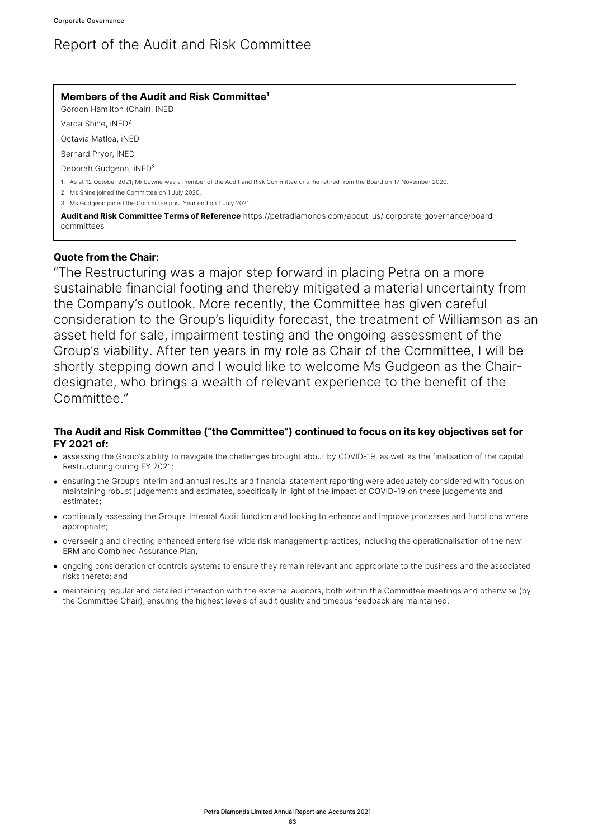# Report of the Audit and Risk Committee

# **Members of the Audit and Risk Committee1**

Gordon Hamilton (Chair), iNED

Varda Shine, iNED2

Octavia Matloa, iNED

Bernard Pryor, iNED

Deborah Gudgeon, iNED3

1. As at 12 October 2021; Mr Lowrie was a member of the Audit and Risk Committee until he retired from the Board on 17 November 2020.

2. Ms Shine joined the Committee on 1 July 2020.

3. Ms Gudgeon joined the Committee post Year end on 1 July 2021.

**Audit and Risk Committee Terms of Reference** https://petradiamonds.com/about-us/ corporate governance/boardcommittees

# **Quote from the Chair:**

"The Restructuring was a major step forward in placing Petra on a more sustainable financial footing and thereby mitigated a material uncertainty from the Company's outlook. More recently, the Committee has given careful consideration to the Group's liquidity forecast, the treatment of Williamson as an asset held for sale, impairment testing and the ongoing assessment of the Group's viability. After ten years in my role as Chair of the Committee, I will be shortly stepping down and I would like to welcome Ms Gudgeon as the Chairdesignate, who brings a wealth of relevant experience to the benefit of the Committee."

# **The Audit and Risk Committee ("the Committee") continued to focus on its key objectives set for FY 2021 of:**

- assessing the Group's ability to navigate the challenges brought about by COVID-19, as well as the finalisation of the capital Restructuring during FY 2021;
- ensuring the Group's interim and annual results and financial statement reporting were adequately considered with focus on maintaining robust judgements and estimates, specifically in light of the impact of COVID-19 on these judgements and estimates;
- continually assessing the Group's Internal Audit function and looking to enhance and improve processes and functions where appropriate;
- overseeing and directing enhanced enterprise-wide risk management practices, including the operationalisation of the new ERM and Combined Assurance Plan;
- ongoing consideration of controls systems to ensure they remain relevant and appropriate to the business and the associated risks thereto; and
- maintaining regular and detailed interaction with the external auditors, both within the Committee meetings and otherwise (by the Committee Chair), ensuring the highest levels of audit quality and timeous feedback are maintained.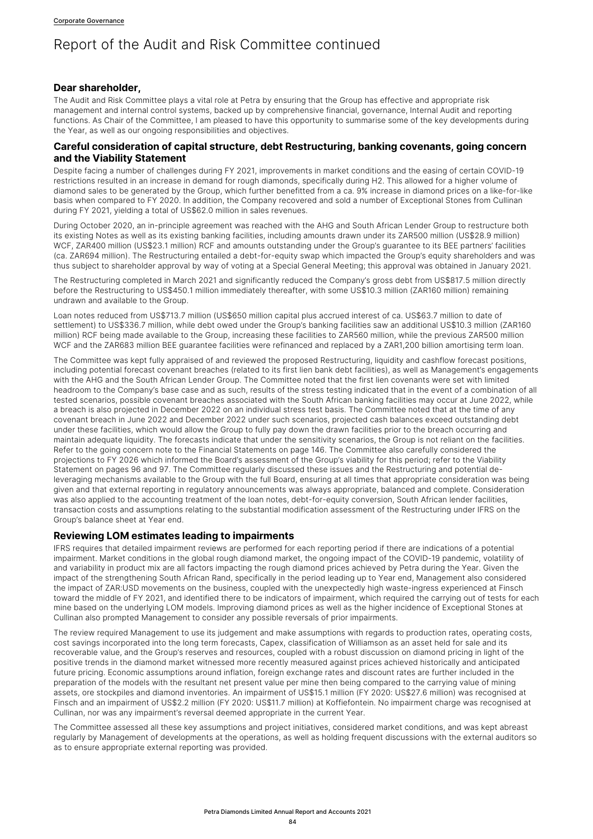### **Dear shareholder,**

The Audit and Risk Committee plays a vital role at Petra by ensuring that the Group has effective and appropriate risk management and internal control systems, backed up by comprehensive financial, governance, Internal Audit and reporting functions. As Chair of the Committee, I am pleased to have this opportunity to summarise some of the key developments during the Year, as well as our ongoing responsibilities and objectives.

# **Careful consideration of capital structure, debt Restructuring, banking covenants, going concern and the Viability Statement**

Despite facing a number of challenges during FY 2021, improvements in market conditions and the easing of certain COVID-19 restrictions resulted in an increase in demand for rough diamonds, specifically during H2. This allowed for a higher volume of diamond sales to be generated by the Group, which further benefitted from a ca. 9% increase in diamond prices on a like-for-like basis when compared to FY 2020. In addition, the Company recovered and sold a number of Exceptional Stones from Cullinan during FY 2021, yielding a total of US\$62.0 million in sales revenues.

During October 2020, an in-principle agreement was reached with the AHG and South African Lender Group to restructure both its existing Notes as well as its existing banking facilities, including amounts drawn under its ZAR500 million (US\$28.9 million) WCF, ZAR400 million (US\$23.1 million) RCF and amounts outstanding under the Group's guarantee to its BEE partners' facilities (ca. ZAR694 million). The Restructuring entailed a debt-for-equity swap which impacted the Group's equity shareholders and was thus subject to shareholder approval by way of voting at a Special General Meeting; this approval was obtained in January 2021.

The Restructuring completed in March 2021 and significantly reduced the Company's gross debt from US\$817.5 million directly before the Restructuring to US\$450.1 million immediately thereafter, with some US\$10.3 million (ZAR160 million) remaining undrawn and available to the Group.

Loan notes reduced from US\$713.7 million (US\$650 million capital plus accrued interest of ca. US\$63.7 million to date of settlement) to US\$336.7 million, while debt owed under the Group's banking facilities saw an additional US\$10.3 million (ZAR160 million) RCF being made available to the Group, increasing these facilities to ZAR560 million, while the previous ZAR500 million WCF and the ZAR683 million BEE guarantee facilities were refinanced and replaced by a ZAR1,200 billion amortising term loan.

The Committee was kept fully appraised of and reviewed the proposed Restructuring, liquidity and cashflow forecast positions, including potential forecast covenant breaches (related to its first lien bank debt facilities), as well as Management's engagements with the AHG and the South African Lender Group. The Committee noted that the first lien covenants were set with limited headroom to the Company's base case and as such, results of the stress testing indicated that in the event of a combination of all tested scenarios, possible covenant breaches associated with the South African banking facilities may occur at June 2022, while a breach is also projected in December 2022 on an individual stress test basis. The Committee noted that at the time of any covenant breach in June 2022 and December 2022 under such scenarios, projected cash balances exceed outstanding debt under these facilities, which would allow the Group to fully pay down the drawn facilities prior to the breach occurring and maintain adequate liquidity. The forecasts indicate that under the sensitivity scenarios, the Group is not reliant on the facilities. Refer to the going concern note to the Financial Statements on page 146. The Committee also carefully considered the projections to FY 2026 which informed the Board's assessment of the Group's viability for this period; refer to the Viability Statement on pages 96 and 97. The Committee regularly discussed these issues and the Restructuring and potential deleveraging mechanisms available to the Group with the full Board, ensuring at all times that appropriate consideration was being given and that external reporting in regulatory announcements was always appropriate, balanced and complete. Consideration was also applied to the accounting treatment of the loan notes, debt-for-equity conversion, South African lender facilities, transaction costs and assumptions relating to the substantial modification assessment of the Restructuring under IFRS on the Group's balance sheet at Year end.

# **Reviewing LOM estimates leading to impairments**

IFRS requires that detailed impairment reviews are performed for each reporting period if there are indications of a potential impairment. Market conditions in the global rough diamond market, the ongoing impact of the COVID-19 pandemic, volatility of and variability in product mix are all factors impacting the rough diamond prices achieved by Petra during the Year. Given the impact of the strengthening South African Rand, specifically in the period leading up to Year end, Management also considered the impact of ZAR:USD movements on the business, coupled with the unexpectedly high waste-ingress experienced at Finsch toward the middle of FY 2021, and identified there to be indicators of impairment, which required the carrying out of tests for each mine based on the underlying LOM models. Improving diamond prices as well as the higher incidence of Exceptional Stones at Cullinan also prompted Management to consider any possible reversals of prior impairments.

The review required Management to use its judgement and make assumptions with regards to production rates, operating costs, cost savings incorporated into the long term forecasts, Capex, classification of Williamson as an asset held for sale and its recoverable value, and the Group's reserves and resources, coupled with a robust discussion on diamond pricing in light of the positive trends in the diamond market witnessed more recently measured against prices achieved historically and anticipated future pricing. Economic assumptions around inflation, foreign exchange rates and discount rates are further included in the preparation of the models with the resultant net present value per mine then being compared to the carrying value of mining assets, ore stockpiles and diamond inventories. An impairment of US\$15.1 million (FY 2020: US\$27.6 million) was recognised at Finsch and an impairment of US\$2.2 million (FY 2020: US\$11.7 million) at Koffiefontein. No impairment charge was recognised at Cullinan, nor was any impairment's reversal deemed appropriate in the current Year.

The Committee assessed all these key assumptions and project initiatives, considered market conditions, and was kept abreast regularly by Management of developments at the operations, as well as holding frequent discussions with the external auditors so as to ensure appropriate external reporting was provided.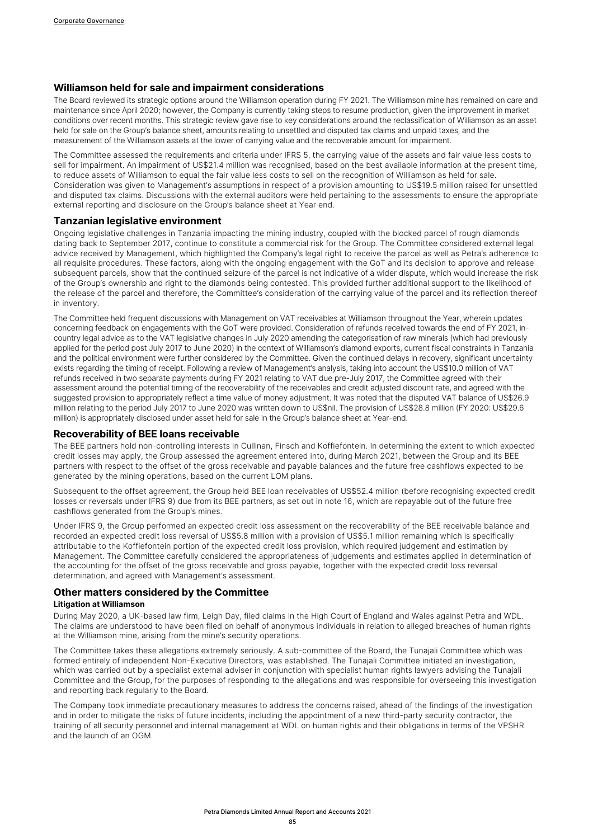### **Williamson held for sale and impairment considerations**

The Board reviewed its strategic options around the Williamson operation during FY 2021. The Williamson mine has remained on care and maintenance since April 2020; however, the Company is currently taking steps to resume production, given the improvement in market conditions over recent months. This strategic review gave rise to key considerations around the reclassification of Williamson as an asset held for sale on the Group's balance sheet, amounts relating to unsettled and disputed tax claims and unpaid taxes, and the measurement of the Williamson assets at the lower of carrying value and the recoverable amount for impairment.

The Committee assessed the requirements and criteria under IFRS 5, the carrying value of the assets and fair value less costs to sell for impairment. An impairment of US\$21.4 million was recognised, based on the best available information at the present time, to reduce assets of Williamson to equal the fair value less costs to sell on the recognition of Williamson as held for sale. Consideration was given to Management's assumptions in respect of a provision amounting to US\$19.5 million raised for unsettled and disputed tax claims. Discussions with the external auditors were held pertaining to the assessments to ensure the appropriate external reporting and disclosure on the Group's balance sheet at Year end.

#### **Tanzanian legislative environment**

Ongoing legislative challenges in Tanzania impacting the mining industry, coupled with the blocked parcel of rough diamonds dating back to September 2017, continue to constitute a commercial risk for the Group. The Committee considered external legal advice received by Management, which highlighted the Company's legal right to receive the parcel as well as Petra's adherence to all requisite procedures. These factors, along with the ongoing engagement with the GoT and its decision to approve and release subsequent parcels, show that the continued seizure of the parcel is not indicative of a wider dispute, which would increase the risk of the Group's ownership and right to the diamonds being contested. This provided further additional support to the likelihood of the release of the parcel and therefore, the Committee's consideration of the carrying value of the parcel and its reflection thereof in inventory.

The Committee held frequent discussions with Management on VAT receivables at Williamson throughout the Year, wherein updates concerning feedback on engagements with the GoT were provided. Consideration of refunds received towards the end of FY 2021, incountry legal advice as to the VAT legislative changes in July 2020 amending the categorisation of raw minerals (which had previously applied for the period post July 2017 to June 2020) in the context of Williamson's diamond exports, current fiscal constraints in Tanzania and the political environment were further considered by the Committee. Given the continued delays in recovery, significant uncertainty exists regarding the timing of receipt. Following a review of Management's analysis, taking into account the US\$10.0 million of VAT refunds received in two separate payments during FY 2021 relating to VAT due pre-July 2017, the Committee agreed with their assessment around the potential timing of the recoverability of the receivables and credit adjusted discount rate, and agreed with the suggested provision to appropriately reflect a time value of money adjustment. It was noted that the disputed VAT balance of US\$26.9 million relating to the period July 2017 to June 2020 was written down to US\$nil. The provision of US\$28.8 million (FY 2020: US\$29.6 million) is appropriately disclosed under asset held for sale in the Group's balance sheet at Year-end.

#### **Recoverability of BEE loans receivable**

The BEE partners hold non-controlling interests in Cullinan, Finsch and Koffiefontein. In determining the extent to which expected credit losses may apply, the Group assessed the agreement entered into, during March 2021, between the Group and its BEE partners with respect to the offset of the gross receivable and payable balances and the future free cashflows expected to be generated by the mining operations, based on the current LOM plans.

Subsequent to the offset agreement, the Group held BEE loan receivables of US\$52.4 million (before recognising expected credit losses or reversals under IFRS 9) due from its BEE partners, as set out in note 16, which are repayable out of the future free cashflows generated from the Group's mines.

Under IFRS 9, the Group performed an expected credit loss assessment on the recoverability of the BEE receivable balance and recorded an expected credit loss reversal of US\$5.8 million with a provision of US\$5.1 million remaining which is specifically attributable to the Koffiefontein portion of the expected credit loss provision, which required judgement and estimation by Management. The Committee carefully considered the appropriateness of judgements and estimates applied in determination of the accounting for the offset of the gross receivable and gross payable, together with the expected credit loss reversal determination, and agreed with Management's assessment.

#### **Other matters considered by the Committee**

#### **Litigation at Williamson**

During May 2020, a UK-based law firm, Leigh Day, filed claims in the High Court of England and Wales against Petra and WDL. The claims are understood to have been filed on behalf of anonymous individuals in relation to alleged breaches of human rights at the Williamson mine, arising from the mine's security operations.

The Committee takes these allegations extremely seriously. A sub-committee of the Board, the Tunajali Committee which was formed entirely of independent Non-Executive Directors, was established. The Tunajali Committee initiated an investigation, which was carried out by a specialist external adviser in conjunction with specialist human rights lawyers advising the Tunajali Committee and the Group, for the purposes of responding to the allegations and was responsible for overseeing this investigation and reporting back regularly to the Board.

The Company took immediate precautionary measures to address the concerns raised, ahead of the findings of the investigation and in order to mitigate the risks of future incidents, including the appointment of a new third-party security contractor, the training of all security personnel and internal management at WDL on human rights and their obligations in terms of the VPSHR and the launch of an OGM.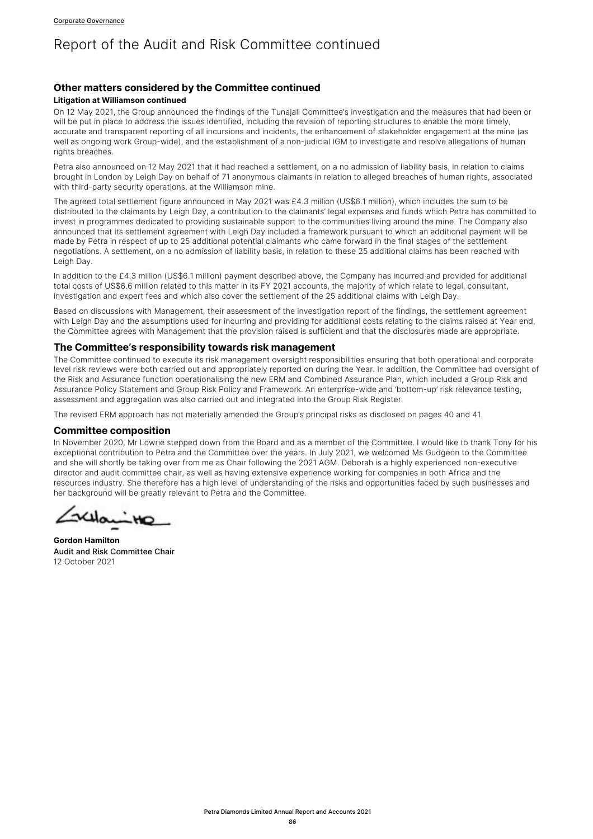# **Other matters considered by the Committee continued**

#### **Litigation at Williamson continued**

On 12 May 2021, the Group announced the findings of the Tunajali Committee's investigation and the measures that had been or will be put in place to address the issues identified, including the revision of reporting structures to enable the more timely, accurate and transparent reporting of all incursions and incidents, the enhancement of stakeholder engagement at the mine (as well as ongoing work Group-wide), and the establishment of a non-judicial IGM to investigate and resolve allegations of human rights breaches.

Petra also announced on 12 May 2021 that it had reached a settlement, on a no admission of liability basis, in relation to claims brought in London by Leigh Day on behalf of 71 anonymous claimants in relation to alleged breaches of human rights, associated with third-party security operations, at the Williamson mine.

The agreed total settlement figure announced in May 2021 was £4.3 million (US\$6.1 million), which includes the sum to be distributed to the claimants by Leigh Day, a contribution to the claimants' legal expenses and funds which Petra has committed to invest in programmes dedicated to providing sustainable support to the communities living around the mine. The Company also announced that its settlement agreement with Leigh Day included a framework pursuant to which an additional payment will be made by Petra in respect of up to 25 additional potential claimants who came forward in the final stages of the settlement negotiations. A settlement, on a no admission of liability basis, in relation to these 25 additional claims has been reached with Leigh Day.

In addition to the £4.3 million (US\$6.1 million) payment described above, the Company has incurred and provided for additional total costs of US\$6.6 million related to this matter in its FY 2021 accounts, the majority of which relate to legal, consultant, investigation and expert fees and which also cover the settlement of the 25 additional claims with Leigh Day.

Based on discussions with Management, their assessment of the investigation report of the findings, the settlement agreement with Leigh Day and the assumptions used for incurring and providing for additional costs relating to the claims raised at Year end, the Committee agrees with Management that the provision raised is sufficient and that the disclosures made are appropriate.

### **The Committee's responsibility towards risk management**

The Committee continued to execute its risk management oversight responsibilities ensuring that both operational and corporate level risk reviews were both carried out and appropriately reported on during the Year. In addition, the Committee had oversight of the Risk and Assurance function operationalising the new ERM and Combined Assurance Plan, which included a Group Risk and Assurance Policy Statement and Group Risk Policy and Framework. An enterprise-wide and 'bottom-up' risk relevance testing, assessment and aggregation was also carried out and integrated into the Group Risk Register.

The revised ERM approach has not materially amended the Group's principal risks as disclosed on pages 40 and 41.

## **Committee composition**

In November 2020, Mr Lowrie stepped down from the Board and as a member of the Committee. I would like to thank Tony for his exceptional contribution to Petra and the Committee over the years. In July 2021, we welcomed Ms Gudgeon to the Committee and she will shortly be taking over from me as Chair following the 2021 AGM. Deborah is a highly experienced non-executive director and audit committee chair, as well as having extensive experience working for companies in both Africa and the resources industry. She therefore has a high level of understanding of the risks and opportunities faced by such businesses and her background will be greatly relevant to Petra and the Committee.

حاله

**Gordon Hamilton** Audit and Risk Committee Chair 12 October 2021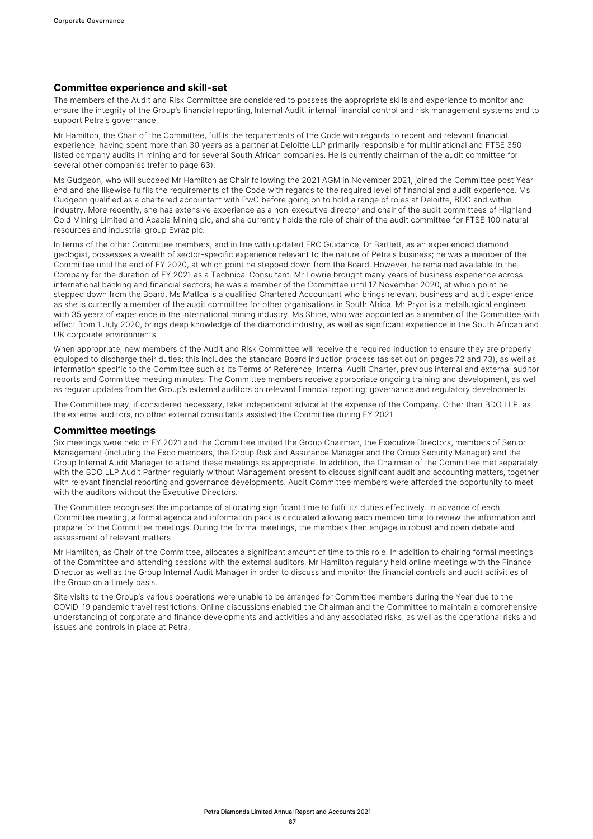#### **Committee experience and skill-set**

The members of the Audit and Risk Committee are considered to possess the appropriate skills and experience to monitor and ensure the integrity of the Group's financial reporting, Internal Audit, internal financial control and risk management systems and to support Petra's governance.

Mr Hamilton, the Chair of the Committee, fulfils the requirements of the Code with regards to recent and relevant financial experience, having spent more than 30 years as a partner at Deloitte LLP primarily responsible for multinational and FTSE 350 listed company audits in mining and for several South African companies. He is currently chairman of the audit committee for several other companies (refer to page 63).

Ms Gudgeon, who will succeed Mr Hamilton as Chair following the 2021 AGM in November 2021, joined the Committee post Year end and she likewise fulfils the requirements of the Code with regards to the required level of financial and audit experience. Ms Gudgeon qualified as a chartered accountant with PwC before going on to hold a range of roles at Deloitte, BDO and within industry. More recently, she has extensive experience as a non-executive director and chair of the audit committees of Highland Gold Mining Limited and Acacia Mining plc, and she currently holds the role of chair of the audit committee for FTSE 100 natural resources and industrial group Evraz plc.

In terms of the other Committee members, and in line with updated FRC Guidance, Dr Bartlett, as an experienced diamond geologist, possesses a wealth of sector-specific experience relevant to the nature of Petra's business; he was a member of the Committee until the end of FY 2020, at which point he stepped down from the Board. However, he remained available to the Company for the duration of FY 2021 as a Technical Consultant. Mr Lowrie brought many years of business experience across international banking and financial sectors; he was a member of the Committee until 17 November 2020, at which point he stepped down from the Board. Ms Matloa is a qualified Chartered Accountant who brings relevant business and audit experience as she is currently a member of the audit committee for other organisations in South Africa. Mr Pryor is a metallurgical engineer with 35 years of experience in the international mining industry. Ms Shine, who was appointed as a member of the Committee with effect from 1 July 2020, brings deep knowledge of the diamond industry, as well as significant experience in the South African and UK corporate environments.

When appropriate, new members of the Audit and Risk Committee will receive the required induction to ensure they are properly equipped to discharge their duties; this includes the standard Board induction process (as set out on pages 72 and 73), as well as information specific to the Committee such as its Terms of Reference, Internal Audit Charter, previous internal and external auditor reports and Committee meeting minutes. The Committee members receive appropriate ongoing training and development, as well as regular updates from the Group's external auditors on relevant financial reporting, governance and regulatory developments.

The Committee may, if considered necessary, take independent advice at the expense of the Company. Other than BDO LLP, as the external auditors, no other external consultants assisted the Committee during FY 2021.

### **Committee meetings**

Six meetings were held in FY 2021 and the Committee invited the Group Chairman, the Executive Directors, members of Senior Management (including the Exco members, the Group Risk and Assurance Manager and the Group Security Manager) and the Group Internal Audit Manager to attend these meetings as appropriate. In addition, the Chairman of the Committee met separately with the BDO LLP Audit Partner regularly without Management present to discuss significant audit and accounting matters, together with relevant financial reporting and governance developments. Audit Committee members were afforded the opportunity to meet with the auditors without the Executive Directors.

The Committee recognises the importance of allocating significant time to fulfil its duties effectively. In advance of each Committee meeting, a formal agenda and information pack is circulated allowing each member time to review the information and prepare for the Committee meetings. During the formal meetings, the members then engage in robust and open debate and assessment of relevant matters.

Mr Hamilton, as Chair of the Committee, allocates a significant amount of time to this role. In addition to chairing formal meetings of the Committee and attending sessions with the external auditors, Mr Hamilton regularly held online meetings with the Finance Director as well as the Group Internal Audit Manager in order to discuss and monitor the financial controls and audit activities of the Group on a timely basis.

Site visits to the Group's various operations were unable to be arranged for Committee members during the Year due to the COVID-19 pandemic travel restrictions. Online discussions enabled the Chairman and the Committee to maintain a comprehensive understanding of corporate and finance developments and activities and any associated risks, as well as the operational risks and issues and controls in place at Petra.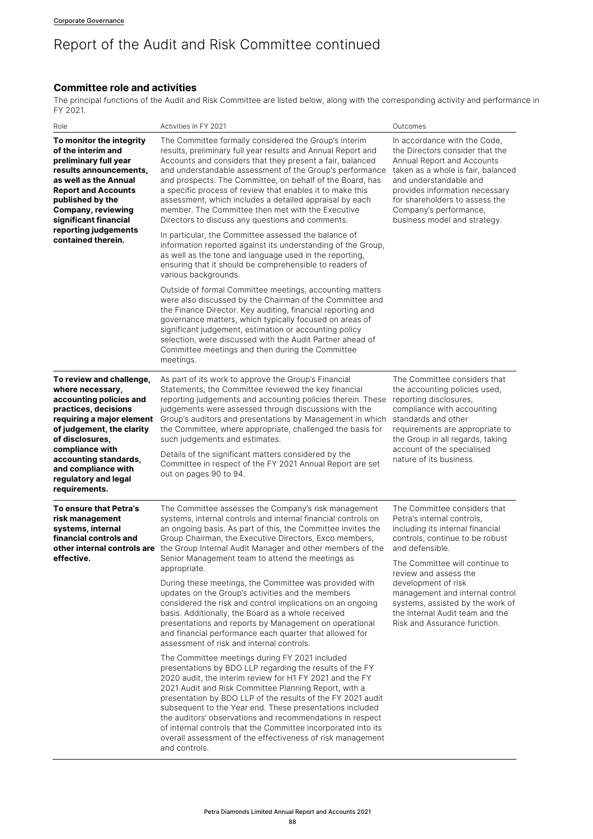## **Committee role and activities**

The principal functions of the Audit and Risk Committee are listed below, along with the corresponding activity and performance in FY 2021.

| Role                                                                                                                                                                                                                                                                                     | Activities in FY 2021                                                                                                                                                                                                                                                                                                                                                                                                                                                                                                                                                                                                                                                                                                                                                                                             | Outcomes                                                                                                                                                                                                                                                                                                                                                                         |
|------------------------------------------------------------------------------------------------------------------------------------------------------------------------------------------------------------------------------------------------------------------------------------------|-------------------------------------------------------------------------------------------------------------------------------------------------------------------------------------------------------------------------------------------------------------------------------------------------------------------------------------------------------------------------------------------------------------------------------------------------------------------------------------------------------------------------------------------------------------------------------------------------------------------------------------------------------------------------------------------------------------------------------------------------------------------------------------------------------------------|----------------------------------------------------------------------------------------------------------------------------------------------------------------------------------------------------------------------------------------------------------------------------------------------------------------------------------------------------------------------------------|
| To monitor the integrity<br>of the interim and<br>preliminary full year<br>results announcements,<br>as well as the Annual<br><b>Report and Accounts</b><br>published by the<br><b>Company, reviewing</b><br>significant financial<br>reporting judgements<br>contained therein.         | The Committee formally considered the Group's interim<br>results, preliminary full year results and Annual Report and<br>Accounts and considers that they present a fair, balanced<br>and understandable assessment of the Group's performance<br>and prospects. The Committee, on behalf of the Board, has<br>a specific process of review that enables it to make this<br>assessment, which includes a detailed appraisal by each<br>member. The Committee then met with the Executive<br>Directors to discuss any questions and comments.                                                                                                                                                                                                                                                                      | In accordance with the Code,<br>the Directors consider that the<br>Annual Report and Accounts<br>taken as a whole is fair, balanced<br>and understandable and<br>provides information necessary<br>for shareholders to assess the<br>Company's performance,<br>business model and strategy.                                                                                      |
|                                                                                                                                                                                                                                                                                          | In particular, the Committee assessed the balance of<br>information reported against its understanding of the Group,<br>as well as the tone and language used in the reporting,<br>ensuring that it should be comprehensible to readers of<br>various backgrounds.                                                                                                                                                                                                                                                                                                                                                                                                                                                                                                                                                |                                                                                                                                                                                                                                                                                                                                                                                  |
|                                                                                                                                                                                                                                                                                          | Outside of formal Committee meetings, accounting matters<br>were also discussed by the Chairman of the Committee and<br>the Finance Director. Key auditing, financial reporting and<br>governance matters, which typically focused on areas of<br>significant judgement, estimation or accounting policy<br>selection, were discussed with the Audit Partner ahead of<br>Committee meetings and then during the Committee<br>meetings.                                                                                                                                                                                                                                                                                                                                                                            |                                                                                                                                                                                                                                                                                                                                                                                  |
| To review and challenge,<br>where necessary,<br>accounting policies and<br>practices, decisions<br>requiring a major element<br>of judgement, the clarity<br>of disclosures,<br>compliance with<br>accounting standards,<br>and compliance with<br>regulatory and legal<br>requirements. | As part of its work to approve the Group's Financial<br>Statements, the Committee reviewed the key financial<br>reporting judgements and accounting policies therein. These<br>judgements were assessed through discussions with the<br>Group's auditors and presentations by Management in which<br>the Committee, where appropriate, challenged the basis for<br>such judgements and estimates.<br>Details of the significant matters considered by the<br>Committee in respect of the FY 2021 Annual Report are set<br>out on pages 90 to 94.                                                                                                                                                                                                                                                                  | The Committee considers that<br>the accounting policies used,<br>reporting disclosures,<br>compliance with accounting<br>standards and other<br>requirements are appropriate to<br>the Group in all regards, taking<br>account of the specialised<br>nature of its business.                                                                                                     |
| To ensure that Petra's<br>risk management<br>systems, internal<br>financial controls and<br>effective.                                                                                                                                                                                   | The Committee assesses the Company's risk management<br>systems, internal controls and internal financial controls on<br>an ongoing basis. As part of this, the Committee invites the<br>Group Chairman, the Executive Directors, Exco members,<br>other internal controls are the Group Internal Audit Manager and other members of the<br>Senior Management team to attend the meetings as<br>appropriate.<br>During these meetings, the Committee was provided with<br>updates on the Group's activities and the members<br>considered the risk and control implications on an ongoing<br>basis. Additionally, the Board as a whole received<br>presentations and reports by Management on operational<br>and financial performance each quarter that allowed for<br>assessment of risk and internal controls. | The Committee considers that<br>Petra's internal controls,<br>including its internal financial<br>controls, continue to be robust<br>and defensible.<br>The Committee will continue to<br>review and assess the<br>development of risk<br>management and internal control<br>systems, assisted by the work of<br>the Internal Audit team and the<br>Risk and Assurance function. |
|                                                                                                                                                                                                                                                                                          | The Committee meetings during FY 2021 included<br>presentations by BDO LLP regarding the results of the FY<br>2020 audit, the interim review for H1 FY 2021 and the FY<br>2021 Audit and Risk Committee Planning Report, with a<br>presentation by BDO LLP of the results of the FY 2021 audit<br>subsequent to the Year end. These presentations included<br>the auditors' observations and recommendations in respect<br>of internal controls that the Committee incorporated into its<br>overall assessment of the effectiveness of risk management<br>and controls.                                                                                                                                                                                                                                           |                                                                                                                                                                                                                                                                                                                                                                                  |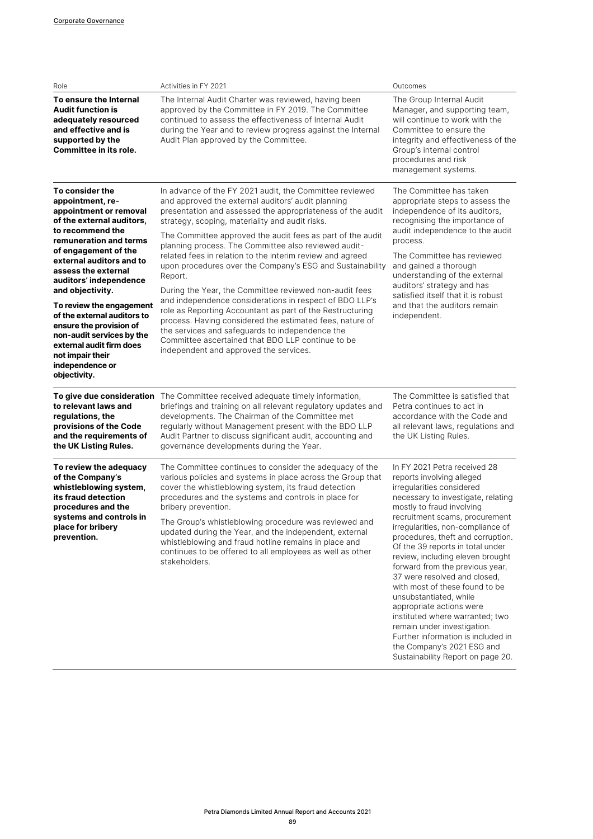| Role                                                                                                                                                                                                                                                                                                                                                                                                                                                                    | Activities in FY 2021                                                                                                                                                                                                                                                                                                                                                                                                                                                                                                                                                                                                                                                                                                                                                                                                                                                                     | Outcomes                                                                                                                                                                                                                                                                                                                                                                                                                                                                                                                                                                                                         |
|-------------------------------------------------------------------------------------------------------------------------------------------------------------------------------------------------------------------------------------------------------------------------------------------------------------------------------------------------------------------------------------------------------------------------------------------------------------------------|-------------------------------------------------------------------------------------------------------------------------------------------------------------------------------------------------------------------------------------------------------------------------------------------------------------------------------------------------------------------------------------------------------------------------------------------------------------------------------------------------------------------------------------------------------------------------------------------------------------------------------------------------------------------------------------------------------------------------------------------------------------------------------------------------------------------------------------------------------------------------------------------|------------------------------------------------------------------------------------------------------------------------------------------------------------------------------------------------------------------------------------------------------------------------------------------------------------------------------------------------------------------------------------------------------------------------------------------------------------------------------------------------------------------------------------------------------------------------------------------------------------------|
| To ensure the Internal<br><b>Audit function is</b><br>adequately resourced<br>and effective and is<br>supported by the<br>Committee in its role.                                                                                                                                                                                                                                                                                                                        | The Internal Audit Charter was reviewed, having been<br>approved by the Committee in FY 2019. The Committee<br>continued to assess the effectiveness of Internal Audit<br>during the Year and to review progress against the Internal<br>Audit Plan approved by the Committee.                                                                                                                                                                                                                                                                                                                                                                                                                                                                                                                                                                                                            | The Group Internal Audit<br>Manager, and supporting team,<br>will continue to work with the<br>Committee to ensure the<br>integrity and effectiveness of the<br>Group's internal control<br>procedures and risk<br>management systems.                                                                                                                                                                                                                                                                                                                                                                           |
| To consider the<br>appointment, re-<br>appointment or removal<br>of the external auditors.<br>to recommend the<br>remuneration and terms<br>of engagement of the<br>external auditors and to<br>assess the external<br>auditors' independence<br>and objectivity.<br>To review the engagement<br>of the external auditors to<br>ensure the provision of<br>non-audit services by the<br>external audit firm does<br>not impair their<br>independence or<br>objectivity. | In advance of the FY 2021 audit, the Committee reviewed<br>and approved the external auditors' audit planning<br>presentation and assessed the appropriateness of the audit<br>strategy, scoping, materiality and audit risks.<br>The Committee approved the audit fees as part of the audit<br>planning process. The Committee also reviewed audit-<br>related fees in relation to the interim review and agreed<br>upon procedures over the Company's ESG and Sustainability<br>Report.<br>During the Year, the Committee reviewed non-audit fees<br>and independence considerations in respect of BDO LLP's<br>role as Reporting Accountant as part of the Restructuring<br>process. Having considered the estimated fees, nature of<br>the services and safeguards to independence the<br>Committee ascertained that BDO LLP continue to be<br>independent and approved the services. | The Committee has taken<br>appropriate steps to assess the<br>independence of its auditors,<br>recognising the importance of<br>audit independence to the audit<br>process.<br>The Committee has reviewed<br>and gained a thorough<br>understanding of the external<br>auditors' strategy and has<br>satisfied itself that it is robust<br>and that the auditors remain<br>independent.                                                                                                                                                                                                                          |
| to relevant laws and<br>regulations, the<br>provisions of the Code<br>and the requirements of<br>the UK Listing Rules.                                                                                                                                                                                                                                                                                                                                                  | To give due consideration The Committee received adequate timely information,<br>briefings and training on all relevant regulatory updates and<br>developments. The Chairman of the Committee met<br>regularly without Management present with the BDO LLP<br>Audit Partner to discuss significant audit, accounting and<br>governance developments during the Year.                                                                                                                                                                                                                                                                                                                                                                                                                                                                                                                      | The Committee is satisfied that<br>Petra continues to act in<br>accordance with the Code and<br>all relevant laws, regulations and<br>the UK Listing Rules.                                                                                                                                                                                                                                                                                                                                                                                                                                                      |
| To review the adequacy<br>of the Company's<br>whistleblowing system,<br>its fraud detection<br>procedures and the<br>systems and controls in<br>place for bribery<br>prevention.                                                                                                                                                                                                                                                                                        | The Committee continues to consider the adequacy of the<br>various policies and systems in place across the Group that<br>cover the whistleblowing system, its fraud detection<br>procedures and the systems and controls in place for<br>bribery prevention.<br>The Group's whistleblowing procedure was reviewed and<br>updated during the Year, and the independent, external<br>whistleblowing and fraud hotline remains in place and<br>continues to be offered to all employees as well as other<br>stakeholders.                                                                                                                                                                                                                                                                                                                                                                   | In FY 2021 Petra received 28<br>reports involving alleged<br>irregularities considered<br>necessary to investigate, relating<br>mostly to fraud involving<br>recruitment scams, procurement<br>irregularities, non-compliance of<br>procedures, theft and corruption.<br>Of the 39 reports in total under<br>review, including eleven brought<br>forward from the previous year,<br>37 were resolved and closed,<br>with most of these found to be<br>unsubstantiated, while<br>appropriate actions were<br>instituted where warranted; two<br>remain under investigation.<br>Further information is included in |

the Company's 2021 ESG and Sustainability Report on page 20.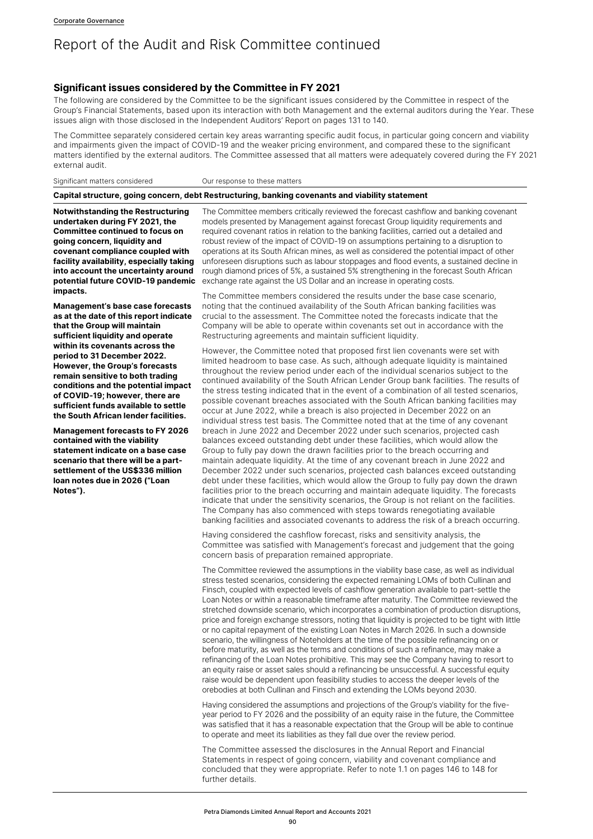#### **Significant issues considered by the Committee in FY 2021**

The following are considered by the Committee to be the significant issues considered by the Committee in respect of the Group's Financial Statements, based upon its interaction with both Management and the external auditors during the Year. These issues align with those disclosed in the Independent Auditors' Report on pages 131 to 140.

The Committee separately considered certain key areas warranting specific audit focus, in particular going concern and viability and impairments given the impact of COVID-19 and the weaker pricing environment, and compared these to the significant matters identified by the external auditors. The Committee assessed that all matters were adequately covered during the FY 2021 external audit.

Significant matters considered **OUR** COUR response to these matters

#### **Capital structure, going concern, debt Restructuring, banking covenants and viability statement**

**Notwithstanding the Restructuring undertaken during FY 2021, the Committee continued to focus on going concern, liquidity and covenant compliance coupled with facility availability, especially taking into account the uncertainty around potential future COVID-19 pandemic impacts.**

**Management's base case forecasts as at the date of this report indicate that the Group will maintain sufficient liquidity and operate within its covenants across the period to 31 December 2022. However, the Group's forecasts remain sensitive to both trading conditions and the potential impact of COVID-19; however, there are sufficient funds available to settle the South African lender facilities.**

**Management forecasts to FY 2026 contained with the viability statement indicate on a base case scenario that there will be a partsettlement of the US\$336 million loan notes due in 2026 ("Loan Notes").**

The Committee members critically reviewed the forecast cashflow and banking covenant models presented by Management against forecast Group liquidity requirements and required covenant ratios in relation to the banking facilities, carried out a detailed and robust review of the impact of COVID-19 on assumptions pertaining to a disruption to operations at its South African mines, as well as considered the potential impact of other unforeseen disruptions such as labour stoppages and flood events, a sustained decline in rough diamond prices of 5%, a sustained 5% strengthening in the forecast South African exchange rate against the US Dollar and an increase in operating costs.

The Committee members considered the results under the base case scenario, noting that the continued availability of the South African banking facilities was crucial to the assessment. The Committee noted the forecasts indicate that the Company will be able to operate within covenants set out in accordance with the Restructuring agreements and maintain sufficient liquidity.

However, the Committee noted that proposed first lien covenants were set with limited headroom to base case. As such, although adequate liquidity is maintained throughout the review period under each of the individual scenarios subject to the continued availability of the South African Lender Group bank facilities. The results of the stress testing indicated that in the event of a combination of all tested scenarios, possible covenant breaches associated with the South African banking facilities may occur at June 2022, while a breach is also projected in December 2022 on an individual stress test basis. The Committee noted that at the time of any covenant breach in June 2022 and December 2022 under such scenarios, projected cash balances exceed outstanding debt under these facilities, which would allow the Group to fully pay down the drawn facilities prior to the breach occurring and maintain adequate liquidity. At the time of any covenant breach in June 2022 and December 2022 under such scenarios, projected cash balances exceed outstanding debt under these facilities, which would allow the Group to fully pay down the drawn facilities prior to the breach occurring and maintain adequate liquidity. The forecasts indicate that under the sensitivity scenarios, the Group is not reliant on the facilities. The Company has also commenced with steps towards renegotiating available banking facilities and associated covenants to address the risk of a breach occurring.

Having considered the cashflow forecast, risks and sensitivity analysis, the Committee was satisfied with Management's forecast and judgement that the going concern basis of preparation remained appropriate.

The Committee reviewed the assumptions in the viability base case, as well as individual stress tested scenarios, considering the expected remaining LOMs of both Cullinan and Finsch, coupled with expected levels of cashflow generation available to part-settle the Loan Notes or within a reasonable timeframe after maturity. The Committee reviewed the stretched downside scenario, which incorporates a combination of production disruptions, price and foreign exchange stressors, noting that liquidity is projected to be tight with little or no capital repayment of the existing Loan Notes in March 2026. In such a downside scenario, the willingness of Noteholders at the time of the possible refinancing on or before maturity, as well as the terms and conditions of such a refinance, may make a refinancing of the Loan Notes prohibitive. This may see the Company having to resort to an equity raise or asset sales should a refinancing be unsuccessful. A successful equity raise would be dependent upon feasibility studies to access the deeper levels of the orebodies at both Cullinan and Finsch and extending the LOMs beyond 2030.

Having considered the assumptions and projections of the Group's viability for the fiveyear period to FY 2026 and the possibility of an equity raise in the future, the Committee was satisfied that it has a reasonable expectation that the Group will be able to continue to operate and meet its liabilities as they fall due over the review period.

The Committee assessed the disclosures in the Annual Report and Financial Statements in respect of going concern, viability and covenant compliance and concluded that they were appropriate. Refer to note 1.1 on pages 146 to 148 for further details.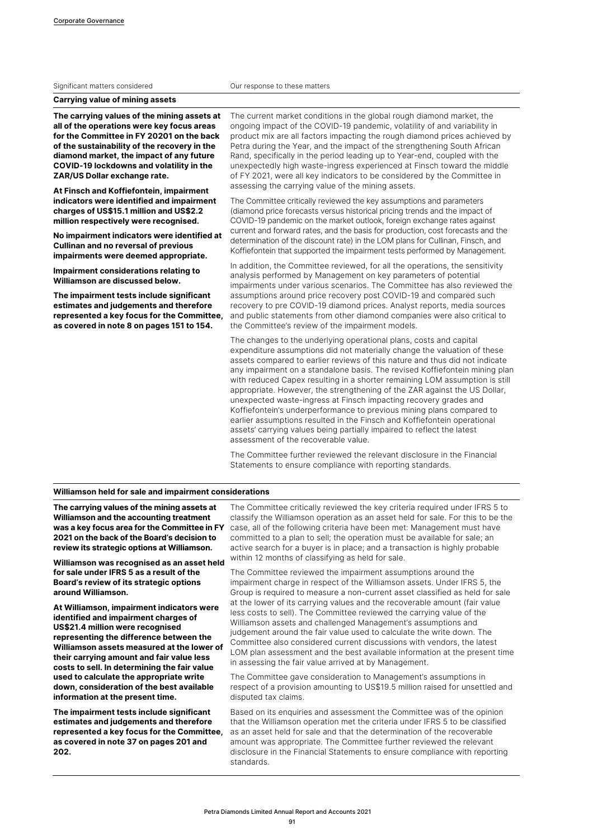|  | Significant matters considered |
|--|--------------------------------|
|  |                                |

**Carrying value of mining assets**

**The carrying values of the mining assets at all of the operations were key focus areas for the Committee in FY 20201 on the back of the sustainability of the recovery in the diamond market, the impact of any future COVID-19 lockdowns and volatility in the ZAR/US Dollar exchange rate.**

**At Finsch and Koffiefontein, impairment indicators were identified and impairment charges of US\$15.1 million and US\$2.2 million respectively were recognised.** 

**No impairment indicators were identified at Cullinan and no reversal of previous impairments were deemed appropriate.**

**Impairment considerations relating to Williamson are discussed below.**

**The impairment tests include significant estimates and judgements and therefore represented a key focus for the Committee, as covered in note 8 on pages 151 to 154.**

The current market conditions in the global rough diamond market, the ongoing impact of the COVID-19 pandemic, volatility of and variability in product mix are all factors impacting the rough diamond prices achieved by Petra during the Year, and the impact of the strengthening South African Rand, specifically in the period leading up to Year-end, coupled with the unexpectedly high waste-ingress experienced at Finsch toward the middle of FY 2021, were all key indicators to be considered by the Committee in assessing the carrying value of the mining assets.

Our response to these matters

The Committee critically reviewed the key assumptions and parameters (diamond price forecasts versus historical pricing trends and the impact of COVID-19 pandemic on the market outlook, foreign exchange rates against current and forward rates, and the basis for production, cost forecasts and the determination of the discount rate) in the LOM plans for Cullinan, Finsch, and Koffiefontein that supported the impairment tests performed by Management.

In addition, the Committee reviewed, for all the operations, the sensitivity analysis performed by Management on key parameters of potential impairments under various scenarios. The Committee has also reviewed the assumptions around price recovery post COVID-19 and compared such recovery to pre COVID-19 diamond prices. Analyst reports, media sources and public statements from other diamond companies were also critical to the Committee's review of the impairment models.

The changes to the underlying operational plans, costs and capital expenditure assumptions did not materially change the valuation of these assets compared to earlier reviews of this nature and thus did not indicate any impairment on a standalone basis. The revised Koffiefontein mining plan with reduced Capex resulting in a shorter remaining LOM assumption is still appropriate. However, the strengthening of the ZAR against the US Dollar, unexpected waste-ingress at Finsch impacting recovery grades and Koffiefontein's underperformance to previous mining plans compared to earlier assumptions resulted in the Finsch and Koffiefontein operational assets' carrying values being partially impaired to reflect the latest assessment of the recoverable value.

The Committee further reviewed the relevant disclosure in the Financial Statements to ensure compliance with reporting standards.

#### **Williamson held for sale and impairment considerations**

**The carrying values of the mining assets at Williamson and the accounting treatment was a key focus area for the Committee in FY 2021 on the back of the Board's decision to review its strategic options at Williamson.**

**Williamson was recognised as an asset held for sale under IFRS 5 as a result of the Board's review of its strategic options around Williamson.**

**At Williamson, impairment indicators were identified and impairment charges of US\$21.4 million were recognised representing the difference between the Williamson assets measured at the lower of their carrying amount and fair value less costs to sell. In determining the fair value used to calculate the appropriate write down, consideration of the best available information at the present time.**

**The impairment tests include significant estimates and judgements and therefore represented a key focus for the Committee, as covered in note 37 on pages 201 and 202.**

The Committee critically reviewed the key criteria required under IFRS 5 to classify the Williamson operation as an asset held for sale. For this to be the case, all of the following criteria have been met: Management must have committed to a plan to sell; the operation must be available for sale; an active search for a buyer is in place; and a transaction is highly probable within 12 months of classifying as held for sale.

The Committee reviewed the impairment assumptions around the impairment charge in respect of the Williamson assets. Under IFRS 5, the Group is required to measure a non-current asset classified as held for sale at the lower of its carrying values and the recoverable amount (fair value less costs to sell). The Committee reviewed the carrying value of the Williamson assets and challenged Management's assumptions and judgement around the fair value used to calculate the write down. The Committee also considered current discussions with vendors, the latest LOM plan assessment and the best available information at the present time in assessing the fair value arrived at by Management.

The Committee gave consideration to Management's assumptions in respect of a provision amounting to US\$19.5 million raised for unsettled and disputed tax claims.

Based on its enquiries and assessment the Committee was of the opinion that the Williamson operation met the criteria under IFRS 5 to be classified as an asset held for sale and that the determination of the recoverable amount was appropriate. The Committee further reviewed the relevant disclosure in the Financial Statements to ensure compliance with reporting standards.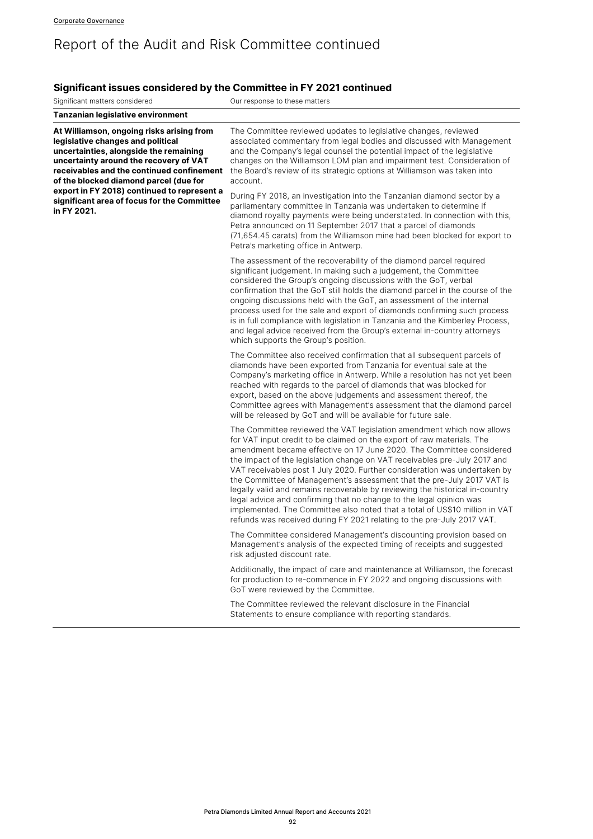# **Significant issues considered by the Committee in FY 2021 continued**

| Significant matters considered                                                                                                                                                                                                                                                                                                                                         | Our response to these matters                                                                                                                                                                                                                                                                                                                                                                                                                                                                                                                                                                                                                                                                                                                                               |
|------------------------------------------------------------------------------------------------------------------------------------------------------------------------------------------------------------------------------------------------------------------------------------------------------------------------------------------------------------------------|-----------------------------------------------------------------------------------------------------------------------------------------------------------------------------------------------------------------------------------------------------------------------------------------------------------------------------------------------------------------------------------------------------------------------------------------------------------------------------------------------------------------------------------------------------------------------------------------------------------------------------------------------------------------------------------------------------------------------------------------------------------------------------|
| <b>Tanzanian legislative environment</b>                                                                                                                                                                                                                                                                                                                               |                                                                                                                                                                                                                                                                                                                                                                                                                                                                                                                                                                                                                                                                                                                                                                             |
| At Williamson, ongoing risks arising from<br>legislative changes and political<br>uncertainties, alongside the remaining<br>uncertainty around the recovery of VAT<br>receivables and the continued confinement<br>of the blocked diamond parcel (due for<br>export in FY 2018) continued to represent a<br>significant area of focus for the Committee<br>in FY 2021. | The Committee reviewed updates to legislative changes, reviewed<br>associated commentary from legal bodies and discussed with Management<br>and the Company's legal counsel the potential impact of the legislative<br>changes on the Williamson LOM plan and impairment test. Consideration of<br>the Board's review of its strategic options at Williamson was taken into<br>account.                                                                                                                                                                                                                                                                                                                                                                                     |
|                                                                                                                                                                                                                                                                                                                                                                        | During FY 2018, an investigation into the Tanzanian diamond sector by a<br>parliamentary committee in Tanzania was undertaken to determine if<br>diamond royalty payments were being understated. In connection with this,<br>Petra announced on 11 September 2017 that a parcel of diamonds<br>(71,654.45 carats) from the Williamson mine had been blocked for export to<br>Petra's marketing office in Antwerp.                                                                                                                                                                                                                                                                                                                                                          |
|                                                                                                                                                                                                                                                                                                                                                                        | The assessment of the recoverability of the diamond parcel required<br>significant judgement. In making such a judgement, the Committee<br>considered the Group's ongoing discussions with the GoT, verbal<br>confirmation that the GoT still holds the diamond parcel in the course of the<br>ongoing discussions held with the GoT, an assessment of the internal<br>process used for the sale and export of diamonds confirming such process<br>is in full compliance with legislation in Tanzania and the Kimberley Process,<br>and legal advice received from the Group's external in-country attorneys<br>which supports the Group's position.                                                                                                                        |
|                                                                                                                                                                                                                                                                                                                                                                        | The Committee also received confirmation that all subsequent parcels of<br>diamonds have been exported from Tanzania for eventual sale at the<br>Company's marketing office in Antwerp. While a resolution has not yet been<br>reached with regards to the parcel of diamonds that was blocked for<br>export, based on the above judgements and assessment thereof, the<br>Committee agrees with Management's assessment that the diamond parcel<br>will be released by GoT and will be available for future sale.                                                                                                                                                                                                                                                          |
|                                                                                                                                                                                                                                                                                                                                                                        | The Committee reviewed the VAT legislation amendment which now allows<br>for VAT input credit to be claimed on the export of raw materials. The<br>amendment became effective on 17 June 2020. The Committee considered<br>the impact of the legislation change on VAT receivables pre-July 2017 and<br>VAT receivables post 1 July 2020. Further consideration was undertaken by<br>the Committee of Management's assessment that the pre-July 2017 VAT is<br>legally valid and remains recoverable by reviewing the historical in-country<br>legal advice and confirming that no change to the legal opinion was<br>implemented. The Committee also noted that a total of US\$10 million in VAT<br>refunds was received during FY 2021 relating to the pre-July 2017 VAT. |
|                                                                                                                                                                                                                                                                                                                                                                        | The Committee considered Management's discounting provision based on<br>Management's analysis of the expected timing of receipts and suggested<br>risk adjusted discount rate.                                                                                                                                                                                                                                                                                                                                                                                                                                                                                                                                                                                              |
|                                                                                                                                                                                                                                                                                                                                                                        | Additionally, the impact of care and maintenance at Williamson, the forecast<br>for production to re-commence in FY 2022 and ongoing discussions with<br>GoT were reviewed by the Committee.                                                                                                                                                                                                                                                                                                                                                                                                                                                                                                                                                                                |
|                                                                                                                                                                                                                                                                                                                                                                        | The Committee reviewed the relevant disclosure in the Financial<br>Statements to ensure compliance with reporting standards.                                                                                                                                                                                                                                                                                                                                                                                                                                                                                                                                                                                                                                                |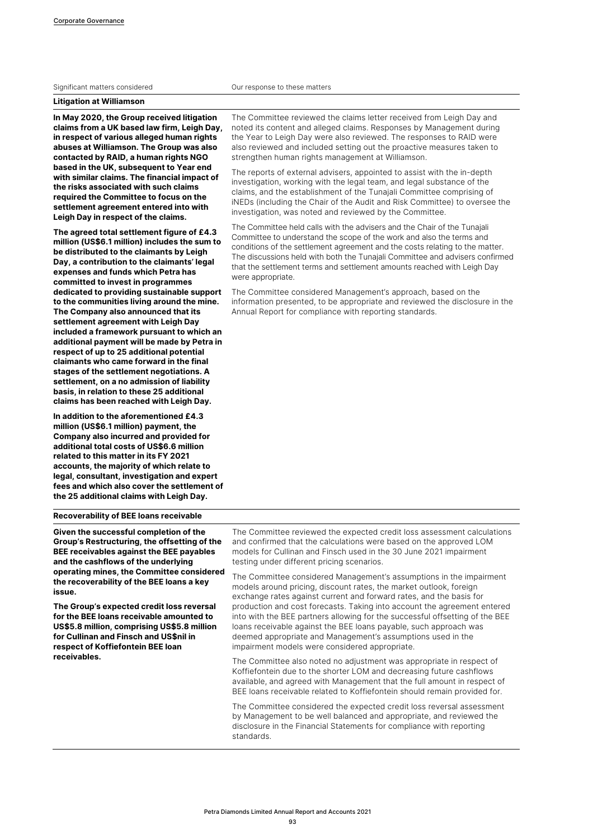#### Significant matters considered **Construction** Our response to these matters

**Litigation at Williamson**

**In May 2020, the Group received litigation claims from a UK based law firm, Leigh Day, in respect of various alleged human rights abuses at Williamson. The Group was also contacted by RAID, a human rights NGO based in the UK, subsequent to Year end with similar claims. The financial impact of the risks associated with such claims required the Committee to focus on the settlement agreement entered into with Leigh Day in respect of the claims.**

**The agreed total settlement figure of £4.3 million (US\$6.1 million) includes the sum to be distributed to the claimants by Leigh Day, a contribution to the claimants' legal expenses and funds which Petra has committed to invest in programmes dedicated to providing sustainable support to the communities living around the mine. The Company also announced that its settlement agreement with Leigh Day included a framework pursuant to which an additional payment will be made by Petra in respect of up to 25 additional potential claimants who came forward in the final stages of the settlement negotiations. A settlement, on a no admission of liability basis, in relation to these 25 additional claims has been reached with Leigh Day.**

**In addition to the aforementioned £4.3 million (US\$6.1 million) payment, the Company also incurred and provided for additional total costs of US\$6.6 million related to this matter in its FY 2021 accounts, the majority of which relate to legal, consultant, investigation and expert fees and which also cover the settlement of the 25 additional claims with Leigh Day.**

**Recoverability of BEE loans receivable**

**Given the successful completion of the Group's Restructuring, the offsetting of the BEE receivables against the BEE payables and the cashflows of the underlying operating mines, the Committee considered the recoverability of the BEE loans a key issue.**

**The Group's expected credit loss reversal for the BEE loans receivable amounted to US\$5.8 million, comprising US\$5.8 million for Cullinan and Finsch and US\$nil in respect of Koffiefontein BEE loan receivables.**

The Committee reviewed the claims letter received from Leigh Day and noted its content and alleged claims. Responses by Management during the Year to Leigh Day were also reviewed. The responses to RAID were also reviewed and included setting out the proactive measures taken to strengthen human rights management at Williamson.

The reports of external advisers, appointed to assist with the in-depth investigation, working with the legal team, and legal substance of the claims, and the establishment of the Tunajali Committee comprising of iNEDs (including the Chair of the Audit and Risk Committee) to oversee the investigation, was noted and reviewed by the Committee.

The Committee held calls with the advisers and the Chair of the Tunajali Committee to understand the scope of the work and also the terms and conditions of the settlement agreement and the costs relating to the matter. The discussions held with both the Tunajali Committee and advisers confirmed that the settlement terms and settlement amounts reached with Leigh Day were appropriate.

The Committee considered Management's approach, based on the information presented, to be appropriate and reviewed the disclosure in the Annual Report for compliance with reporting standards.

The Committee reviewed the expected credit loss assessment calculations and confirmed that the calculations were based on the approved LOM models for Cullinan and Finsch used in the 30 June 2021 impairment testing under different pricing scenarios.

The Committee considered Management's assumptions in the impairment models around pricing, discount rates, the market outlook, foreign exchange rates against current and forward rates, and the basis for production and cost forecasts. Taking into account the agreement entered into with the BEE partners allowing for the successful offsetting of the BEE loans receivable against the BEE loans payable, such approach was deemed appropriate and Management's assumptions used in the impairment models were considered appropriate.

The Committee also noted no adjustment was appropriate in respect of Koffiefontein due to the shorter LOM and decreasing future cashflows available, and agreed with Management that the full amount in respect of BEE loans receivable related to Koffiefontein should remain provided for.

The Committee considered the expected credit loss reversal assessment by Management to be well balanced and appropriate, and reviewed the disclosure in the Financial Statements for compliance with reporting standards.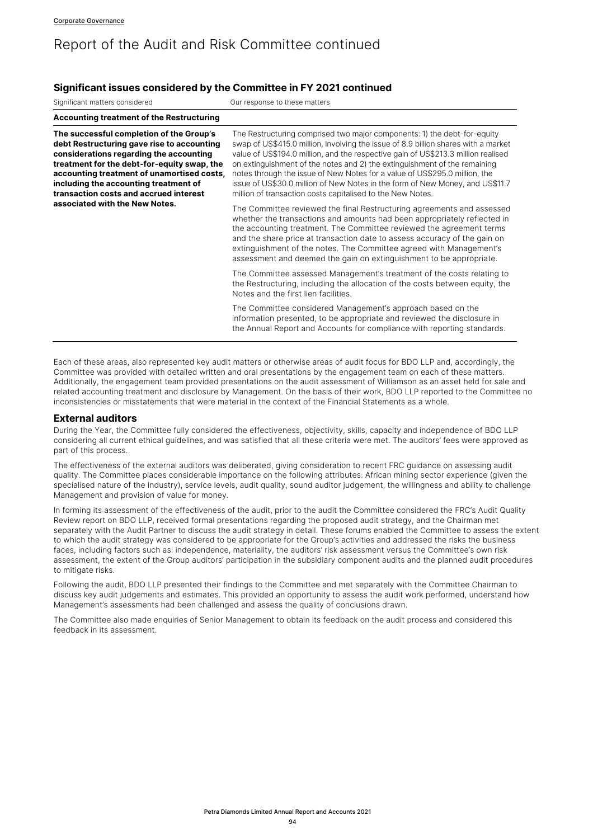### **Significant issues considered by the Committee in FY 2021 continued**

Significant matters considered **OUR COURTS** Our response to these matters

| <b>Accounting treatment of the Restructuring</b>                                                                                                                                                                                                                                                                                                    |                                                                                                                                                                                                                                                                                                                                                                                                                                                                                                                                                               |
|-----------------------------------------------------------------------------------------------------------------------------------------------------------------------------------------------------------------------------------------------------------------------------------------------------------------------------------------------------|---------------------------------------------------------------------------------------------------------------------------------------------------------------------------------------------------------------------------------------------------------------------------------------------------------------------------------------------------------------------------------------------------------------------------------------------------------------------------------------------------------------------------------------------------------------|
| The successful completion of the Group's<br>debt Restructuring gave rise to accounting<br>considerations regarding the accounting<br>treatment for the debt-for-equity swap, the<br>accounting treatment of unamortised costs,<br>including the accounting treatment of<br>transaction costs and accrued interest<br>associated with the New Notes. | The Restructuring comprised two major components: 1) the debt-for-equity<br>swap of US\$415.0 million, involving the issue of 8.9 billion shares with a market<br>value of US\$194.0 million, and the respective gain of US\$213.3 million realised<br>on extinguishment of the notes and 2) the extinguishment of the remaining<br>notes through the issue of New Notes for a value of US\$295.0 million, the<br>issue of US\$30.0 million of New Notes in the form of New Money, and US\$11.7<br>million of transaction costs capitalised to the New Notes. |
|                                                                                                                                                                                                                                                                                                                                                     | The Committee reviewed the final Restructuring agreements and assessed<br>whether the transactions and amounts had been appropriately reflected in<br>the accounting treatment. The Committee reviewed the agreement terms<br>and the share price at transaction date to assess accuracy of the gain on<br>extinguishment of the notes. The Committee agreed with Management's<br>assessment and deemed the gain on extinguishment to be appropriate.                                                                                                         |
|                                                                                                                                                                                                                                                                                                                                                     | The Committee assessed Management's treatment of the costs relating to<br>the Restructuring, including the allocation of the costs between equity, the<br>Notes and the first lien facilities.                                                                                                                                                                                                                                                                                                                                                                |
|                                                                                                                                                                                                                                                                                                                                                     | The Committee considered Management's approach based on the<br>information presented, to be appropriate and reviewed the disclosure in<br>the Annual Report and Accounts for compliance with reporting standards.                                                                                                                                                                                                                                                                                                                                             |

Each of these areas, also represented key audit matters or otherwise areas of audit focus for BDO LLP and, accordingly, the Committee was provided with detailed written and oral presentations by the engagement team on each of these matters. Additionally, the engagement team provided presentations on the audit assessment of Williamson as an asset held for sale and related accounting treatment and disclosure by Management. On the basis of their work, BDO LLP reported to the Committee no inconsistencies or misstatements that were material in the context of the Financial Statements as a whole.

#### **External auditors**

During the Year, the Committee fully considered the effectiveness, objectivity, skills, capacity and independence of BDO LLP considering all current ethical guidelines, and was satisfied that all these criteria were met. The auditors' fees were approved as part of this process.

The effectiveness of the external auditors was deliberated, giving consideration to recent FRC guidance on assessing audit quality. The Committee places considerable importance on the following attributes: African mining sector experience (given the specialised nature of the industry), service levels, audit quality, sound auditor judgement, the willingness and ability to challenge Management and provision of value for money.

In forming its assessment of the effectiveness of the audit, prior to the audit the Committee considered the FRC's Audit Quality Review report on BDO LLP, received formal presentations regarding the proposed audit strategy, and the Chairman met separately with the Audit Partner to discuss the audit strategy in detail. These forums enabled the Committee to assess the extent to which the audit strategy was considered to be appropriate for the Group's activities and addressed the risks the business faces, including factors such as: independence, materiality, the auditors' risk assessment versus the Committee's own risk assessment, the extent of the Group auditors' participation in the subsidiary component audits and the planned audit procedures to mitigate risks.

Following the audit, BDO LLP presented their findings to the Committee and met separately with the Committee Chairman to discuss key audit judgements and estimates. This provided an opportunity to assess the audit work performed, understand how Management's assessments had been challenged and assess the quality of conclusions drawn.

The Committee also made enquiries of Senior Management to obtain its feedback on the audit process and considered this feedback in its assessment.